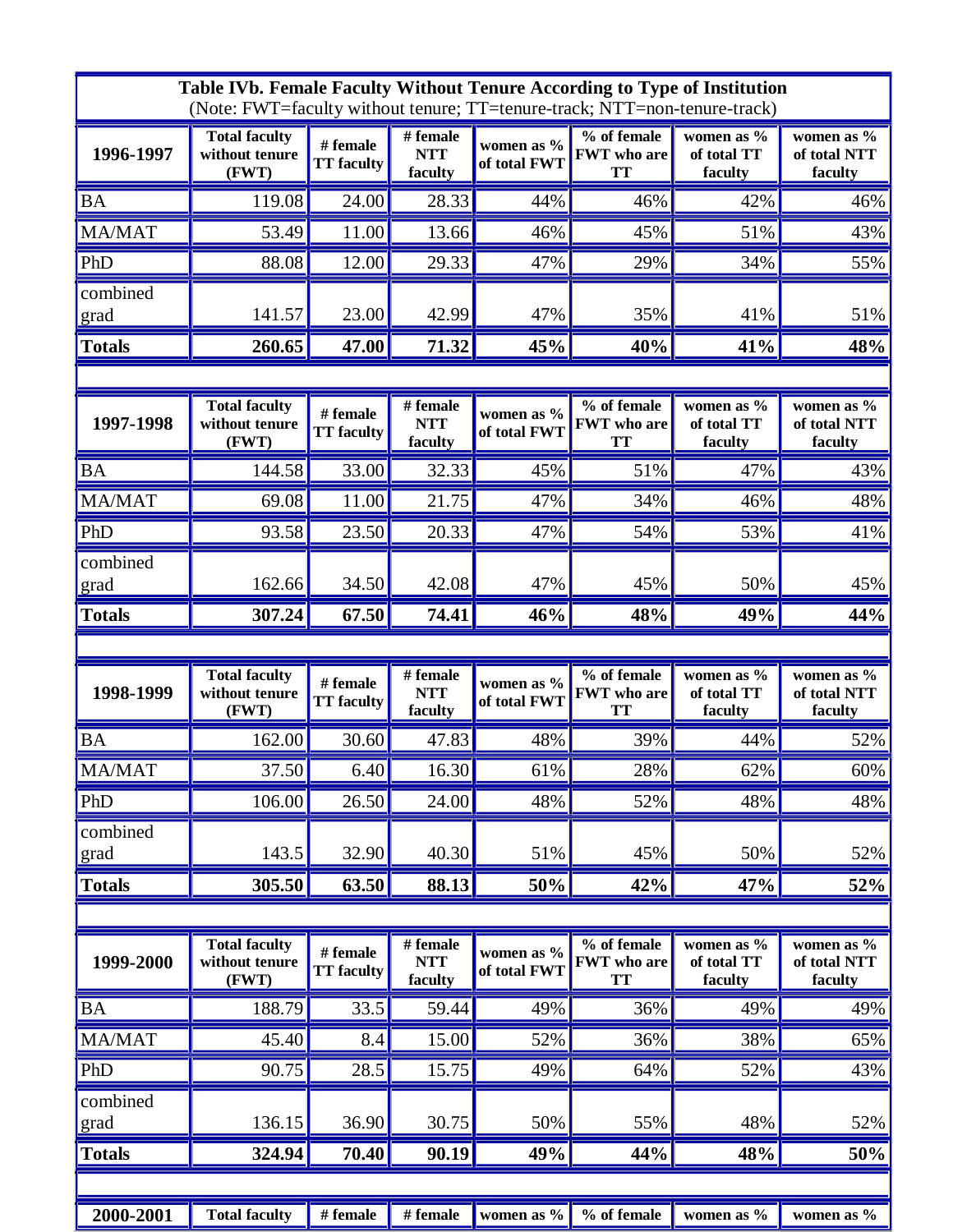| Table IVb. Female Faculty Without Tenure According to Type of Institution<br>(Note: FWT=faculty without tenure; TT=tenure-track; NTT=non-tenure-track) |                                                 |                               |                                   |                               |                                                |                                      |                                          |  |  |  |
|--------------------------------------------------------------------------------------------------------------------------------------------------------|-------------------------------------------------|-------------------------------|-----------------------------------|-------------------------------|------------------------------------------------|--------------------------------------|------------------------------------------|--|--|--|
| 1996-1997                                                                                                                                              | <b>Total faculty</b><br>without tenure<br>(FWT) | # female<br><b>TT</b> faculty | # female<br><b>NTT</b><br>faculty | women as $\%$<br>of total FWT | % of female<br><b>FWT</b> who are<br><b>TT</b> | women as %<br>of total TT<br>faculty | women as %<br>of total NTT<br>faculty    |  |  |  |
| <b>BA</b>                                                                                                                                              | 119.08                                          | 24.00                         | 28.33                             | 44%                           | 46%                                            | 42%                                  | 46%                                      |  |  |  |
| MA/MAT                                                                                                                                                 | 53.49                                           | 11.00                         | 13.66                             | 46%                           | 45%                                            | 51%                                  | 43%                                      |  |  |  |
| PhD                                                                                                                                                    | 88.08                                           | 12.00                         | 29.33                             | 47%                           | 29%                                            | 34%                                  | 55%                                      |  |  |  |
| combined<br>grad                                                                                                                                       | 141.57                                          | 23.00                         | 42.99                             | 47%                           | 35%                                            | 41%                                  | 51%                                      |  |  |  |
| <b>Totals</b>                                                                                                                                          | 260.65                                          | 47.00                         | 71.32                             | 45%                           | 40%                                            | 41%                                  | 48%                                      |  |  |  |
|                                                                                                                                                        |                                                 |                               |                                   |                               |                                                |                                      |                                          |  |  |  |
| 1997-1998                                                                                                                                              | <b>Total faculty</b><br>without tenure<br>(FWT) | # female<br><b>TT</b> faculty | # female<br><b>NTT</b><br>faculty | women as $\%$<br>of total FWT | % of female<br><b>FWT</b> who are<br><b>TT</b> | women as %<br>of total TT<br>faculty | women as %<br>of total NTT<br>faculty    |  |  |  |
| <b>BA</b>                                                                                                                                              | 144.58                                          | 33.00                         | 32.33                             | 45%                           | 51%                                            | 47%                                  | 43%                                      |  |  |  |
| MA/MAT                                                                                                                                                 | 69.08                                           | 11.00                         | 21.75                             | 47%                           | 34%                                            | 46%                                  | 48%                                      |  |  |  |
| PhD                                                                                                                                                    | 93.58                                           | 23.50                         | 20.33                             | 47%                           | 54%                                            | 53%                                  | 41%                                      |  |  |  |
| combined<br>grad                                                                                                                                       | 162.66                                          | 34.50                         | 42.08                             | 47%                           | 45%                                            | 50%                                  | 45%                                      |  |  |  |
| <b>Totals</b>                                                                                                                                          | 307.24                                          | 67.50                         | 74.41                             | 46%                           | 48%                                            | 49%                                  | 44%                                      |  |  |  |
|                                                                                                                                                        |                                                 |                               |                                   |                               |                                                |                                      |                                          |  |  |  |
| 1998-1999                                                                                                                                              | <b>Total faculty</b><br>without tenure          | # female                      | # female<br><b>NTT</b>            | women as $\%$                 | % of female<br><b>FWT</b> who are              | women as %<br>of total TT            | women as %                               |  |  |  |
|                                                                                                                                                        | (FWT)                                           | <b>TT</b> faculty             | faculty                           | of total FWT                  | TT                                             | faculty                              | of total NTT<br>faculty                  |  |  |  |
| <b>BA</b>                                                                                                                                              | 162.00                                          | 30.60                         | 47.83                             | 48%                           | 39%                                            | 44%                                  | 52%                                      |  |  |  |
| MA/MAT                                                                                                                                                 | 37.50                                           | 6.40                          | 16.30                             | 61%                           | 28%                                            | 62%                                  | 60%                                      |  |  |  |
| PhD                                                                                                                                                    | 106.00                                          | 26.50                         | 24.00                             | 48%                           | 52%                                            | 48%                                  | 48%                                      |  |  |  |
| combined<br>grad                                                                                                                                       | 143.5                                           | 32.90                         | 40.30                             | 51%                           | 45%                                            | 50%                                  | 52%                                      |  |  |  |
| <b>Totals</b>                                                                                                                                          | 305.50                                          | 63.50                         | 88.13                             | 50%                           | 42%                                            | 47%                                  | 52%                                      |  |  |  |
|                                                                                                                                                        |                                                 |                               |                                   |                               |                                                |                                      |                                          |  |  |  |
| 1999-2000                                                                                                                                              | <b>Total faculty</b><br>without tenure<br>(FWT) | # female<br><b>TT</b> faculty | # female<br><b>NTT</b><br>faculty | women as $\%$<br>of total FWT | % of female<br><b>FWT</b> who are<br><b>TT</b> | women as %<br>of total TT<br>faculty | women as $\%$<br>of total NTT<br>faculty |  |  |  |
| <b>BA</b>                                                                                                                                              | 188.79                                          | 33.5                          | 59.44                             | 49%                           | 36%                                            | 49%                                  | 49%                                      |  |  |  |
| <b>MA/MAT</b>                                                                                                                                          | 45.40                                           | 8.4                           | 15.00                             | 52%                           | 36%                                            | 38%                                  | 65%                                      |  |  |  |
| PhD                                                                                                                                                    | 90.75                                           | 28.5                          | 15.75                             | 49%                           | 64%                                            | 52%                                  | 43%                                      |  |  |  |
| combined<br>grad                                                                                                                                       | 136.15                                          | 36.90                         | 30.75                             | 50%                           | 55%                                            | 48%                                  | 52%                                      |  |  |  |
| <b>Totals</b>                                                                                                                                          | 324.94                                          | 70.40                         | 90.19                             | 49%                           | 44%                                            | 48%                                  | 50%                                      |  |  |  |
|                                                                                                                                                        |                                                 |                               |                                   |                               |                                                |                                      |                                          |  |  |  |